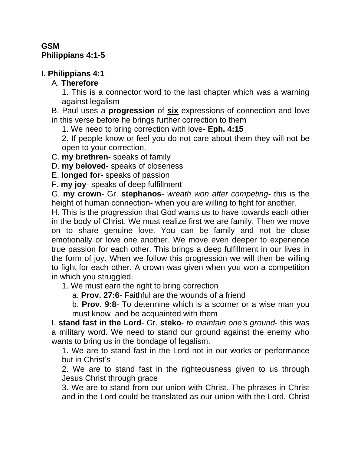### **GSM Philippians 4:1-5**

# **I. Philippians 4:1**

### A. **Therefore**

1. This is a connector word to the last chapter which was a warning against legalism

B. Paul uses a **progression** of **six** expressions of connection and love in this verse before he brings further correction to them

1. We need to bring correction with love- **Eph. 4:15**

2. If people know or feel you do not care about them they will not be open to your correction.

C. **my brethren**- speaks of family

D. **my beloved**- speaks of closeness

E. **longed for**- speaks of passion

F. **my joy**- speaks of deep fulfillment

G. **my crown**- Gr. **stephanos**- *wreath won after competing*- this is the height of human connection- when you are willing to fight for another.

H. This is the progression that God wants us to have towards each other in the body of Christ. We must realize first we are family. Then we move on to share genuine love. You can be family and not be close emotionally or love one another. We move even deeper to experience true passion for each other. This brings a deep fulfillment in our lives in the form of joy. When we follow this progression we will then be willing to fight for each other. A crown was given when you won a competition in which you struggled.

1. We must earn the right to bring correction

a. **Prov. 27:6**- Faithful are the wounds of a friend

b. **Prov. 9:8**- To determine which is a scorner or a wise man you must know and be acquainted with them

I. **stand fast in the Lord**- Gr. **steko**- *to maintain one's ground*- this was a military word. We need to stand our ground against the enemy who wants to bring us in the bondage of legalism.

1. We are to stand fast in the Lord not in our works or performance but in Christ's

2. We are to stand fast in the righteousness given to us through Jesus Christ through grace

3. We are to stand from our union with Christ. The phrases in Christ and in the Lord could be translated as our union with the Lord. Christ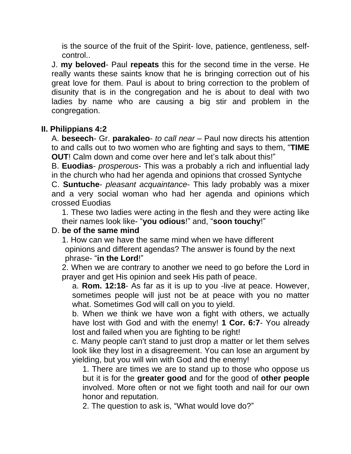is the source of the fruit of the Spirit- love, patience, gentleness, selfcontrol..

J. **my beloved**- Paul **repeats** this for the second time in the verse. He really wants these saints know that he is bringing correction out of his great love for them. Paul is about to bring correction to the problem of disunity that is in the congregation and he is about to deal with two ladies by name who are causing a big stir and problem in the congregation.

#### **II. Philippians 4:2**

A. **beseech**- Gr. **parakaleo**- *to call near* – Paul now directs his attention to and calls out to two women who are fighting and says to them, "**TIME OUT!** Calm down and come over here and let's talk about this!"

B. **Euodias**- *prosperous*- This was a probably a rich and influential lady in the church who had her agenda and opinions that crossed Syntyche

C. **Suntuche**- *pleasant acquaintance*- This lady probably was a mixer and a very social woman who had her agenda and opinions which crossed Euodias

1. These two ladies were acting in the flesh and they were acting like their names look like- "**you odious**!" and, "**soon touchy**!"

#### D. **be of the same mind**

1. How can we have the same mind when we have different opinions and different agendas? The answer is found by the next phrase- "**in the Lord**!"

2. When we are contrary to another we need to go before the Lord in prayer and get His opinion and seek His path of peace.

a. **Rom. 12:18**- As far as it is up to you -live at peace. However, sometimes people will just not be at peace with you no matter what. Sometimes God will call on you to yield.

b. When we think we have won a fight with others, we actually have lost with God and with the enemy! **1 Cor. 6:7**- You already lost and failed when you are fighting to be right!

c. Many people can't stand to just drop a matter or let them selves look like they lost in a disagreement. You can lose an argument by yielding, but you will win with God and the enemy!

1. There are times we are to stand up to those who oppose us but it is for the **greater good** and for the good of **other people** involved. More often or not we fight tooth and nail for our own honor and reputation.

2. The question to ask is, "What would love do?"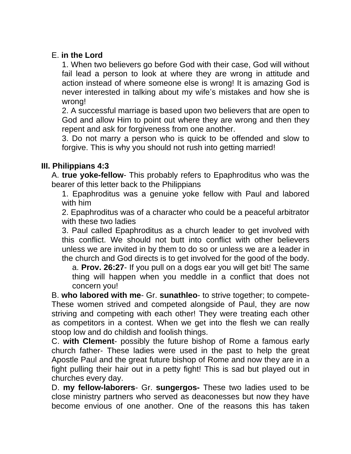### E. **in the Lord**

1. When two believers go before God with their case, God will without fail lead a person to look at where they are wrong in attitude and action instead of where someone else is wrong! It is amazing God is never interested in talking about my wife's mistakes and how she is wrong!

2. A successful marriage is based upon two believers that are open to God and allow Him to point out where they are wrong and then they repent and ask for forgiveness from one another.

3. Do not marry a person who is quick to be offended and slow to forgive. This is why you should not rush into getting married!

#### **III. Philippians 4:3**

A. **true yoke-fellow**- This probably refers to Epaphroditus who was the bearer of this letter back to the Philippians

1. Epaphroditus was a genuine yoke fellow with Paul and labored with him

2. Epaphroditus was of a character who could be a peaceful arbitrator with these two ladies

3. Paul called Epaphroditus as a church leader to get involved with this conflict. We should not butt into conflict with other believers unless we are invited in by them to do so or unless we are a leader in the church and God directs is to get involved for the good of the body.

a. **Prov. 26:27**- If you pull on a dogs ear you will get bit! The same thing will happen when you meddle in a conflict that does not concern you!

B. **who labored with me**- Gr. **sunathleo**- to strive together; to compete-These women strived and competed alongside of Paul, they are now striving and competing with each other! They were treating each other as competitors in a contest. When we get into the flesh we can really stoop low and do childish and foolish things.

C. **with Clement**- possibly the future bishop of Rome a famous early church father- These ladies were used in the past to help the great Apostle Paul and the great future bishop of Rome and now they are in a fight pulling their hair out in a petty fight! This is sad but played out in churches every day.

D. **my fellow-laborers**- Gr. **sungergos-** These two ladies used to be close ministry partners who served as deaconesses but now they have become envious of one another. One of the reasons this has taken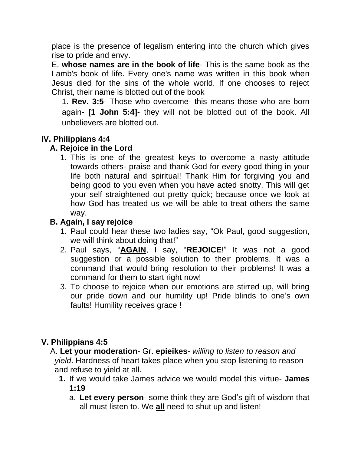place is the presence of legalism entering into the church which gives rise to pride and envy.

E. **whose names are in the book of life**- This is the same book as the Lamb's book of life. Every one's name was written in this book when Jesus died for the sins of the whole world. If one chooses to reject Christ, their name is blotted out of the book

1. **Rev. 3:5**- Those who overcome- this means those who are born again- **[1 John 5:4]**- they will not be blotted out of the book. All unbelievers are blotted out.

# **IV. Philippians 4:4**

# **A. Rejoice in the Lord**

1. This is one of the greatest keys to overcome a nasty attitude towards others- praise and thank God for every good thing in your life both natural and spiritual! Thank Him for forgiving you and being good to you even when you have acted snotty. This will get your self straightened out pretty quick; because once we look at how God has treated us we will be able to treat others the same way.

# **B. Again, I say rejoice**

- 1. Paul could hear these two ladies say, "Ok Paul, good suggestion, we will think about doing that!"
- 2. Paul says, "**AGAIN**, I say, "**REJOICE**!" It was not a good suggestion or a possible solution to their problems. It was a command that would bring resolution to their problems! It was a command for them to start right now!
- 3. To choose to rejoice when our emotions are stirred up, will bring our pride down and our humility up! Pride blinds to one's own faults! Humility receives grace !

### **V. Philippians 4:5**

 A. **Let your moderation**- Gr. **epieikes**- *willing to listen to reason and yield*. Hardness of heart takes place when you stop listening to reason and refuse to yield at all.

- **1.** If we would take James advice we would model this virtue- **James 1:19**
	- a. **Let every person** some think they are God's gift of wisdom that all must listen to. We **all** need to shut up and listen!